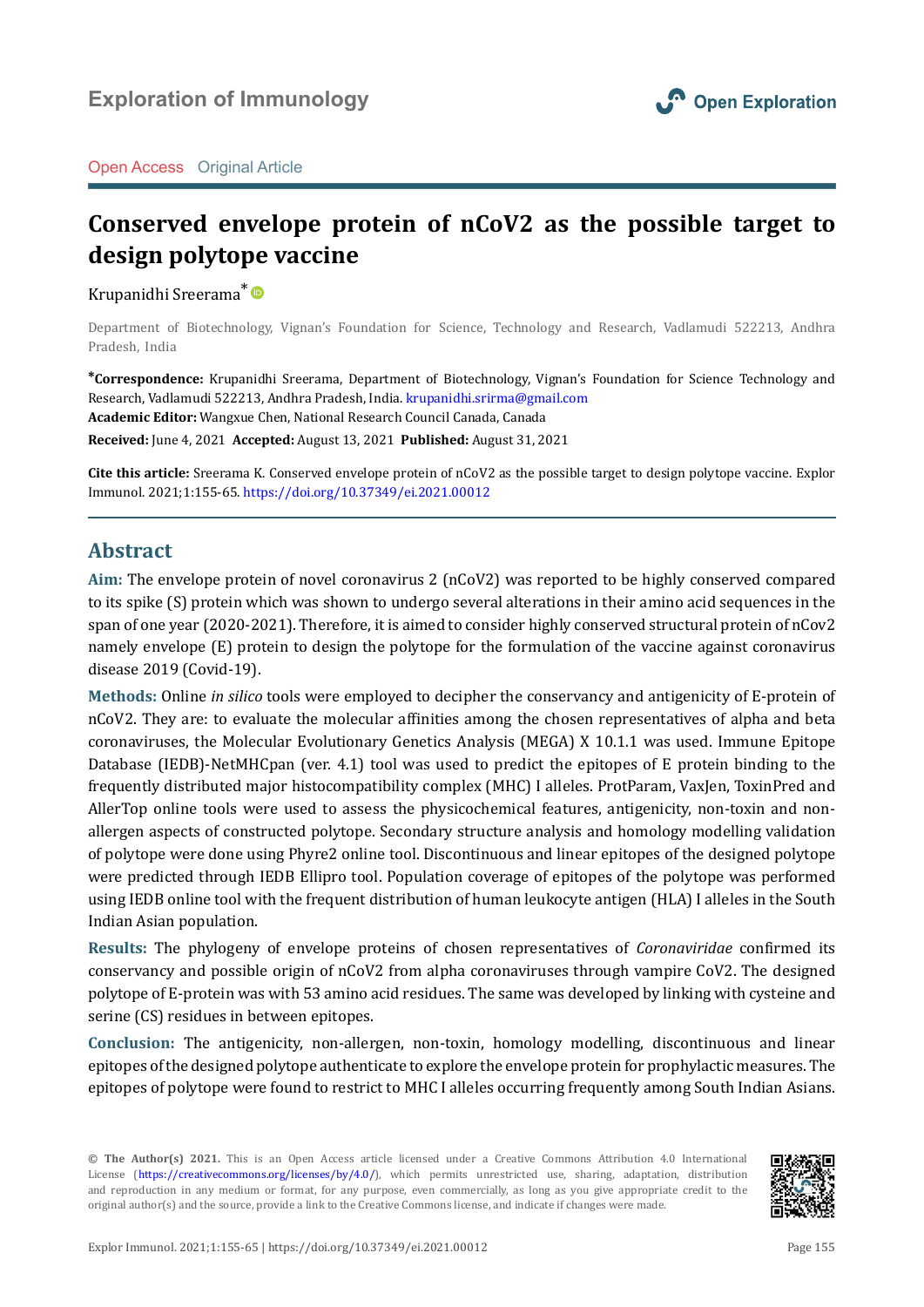

Open Access Original Article

# **Conserved envelope protein of nCoV2 as the possible target to design polytope vaccine**

Krupanidhi Sreerama[\\*](https://orcid.org/0000-0001-6161-8785)

Department of Biotechnology, Vignan's Foundation for Science, Technology and Research, Vadlamudi 522213, Andhra Pradesh, India

**\*Correspondence:** Krupanidhi Sreerama, Department of Biotechnology, Vignan's Foundation for Science Technology and Research, Vadlamudi 522213, Andhra Pradesh, India. [krupanidhi.srirma@gmail.com](mailto:krupanidhi.srirma%40gmail.com?subject=) **Academic Editor:** Wangxue Chen, National Research Council Canada, Canada **Received:** June 4, 2021 **Accepted:** August 13, 2021 **Published:** August 31, 2021

**Cite this article:** Sreerama K. Conserved envelope protein of nCoV2 as the possible target to design polytope vaccine. Explor Immunol. 2021;1:155-65.<https://doi.org/10.37349/ei.2021.00012>

### **Abstract**

**Aim:** The envelope protein of novel coronavirus 2 (nCoV2) was reported to be highly conserved compared to its spike (S) protein which was shown to undergo several alterations in their amino acid sequences in the span of one year (2020-2021). Therefore, it is aimed to consider highly conserved structural protein of nCov2 namely envelope (E) protein to design the polytope for the formulation of the vaccine against coronavirus disease 2019 (Covid-19).

**Methods:** Online *in silico* tools were employed to decipher the conservancy and antigenicity of E-protein of nCoV2. They are: to evaluate the molecular affinities among the chosen representatives of alpha and beta coronaviruses, the Molecular Evolutionary Genetics Analysis (MEGA) X 10.1.1 was used. Immune Epitope Database (IEDB)-NetMHCpan (ver. 4.1) tool was used to predict the epitopes of E protein binding to the frequently distributed major histocompatibility complex (MHC) I alleles. ProtParam, VaxJen, ToxinPred and AllerTop online tools were used to assess the physicochemical features, antigenicity, non-toxin and nonallergen aspects of constructed polytope. Secondary structure analysis and homology modelling validation of polytope were done using Phyre2 online tool. Discontinuous and linear epitopes of the designed polytope were predicted through IEDB Ellipro tool. Population coverage of epitopes of the polytope was performed using IEDB online tool with the frequent distribution of human leukocyte antigen (HLA) I alleles in the South Indian Asian population.

**Results:** The phylogeny of envelope proteins of chosen representatives of *Coronaviridae* confirmed its conservancy and possible origin of nCoV2 from alpha coronaviruses through vampire CoV2. The designed polytope of E-protein was with 53 amino acid residues. The same was developed by linking with cysteine and serine (CS) residues in between epitopes.

**Conclusion:** The antigenicity, non-allergen, non-toxin, homology modelling, discontinuous and linear epitopes of the designed polytope authenticate to explore the envelope protein for prophylactic measures. The epitopes of polytope were found to restrict to MHC I alleles occurring frequently among South Indian Asians.

**© The Author(s) 2021.** This is an Open Access article licensed under a Creative Commons Attribution 4.0 International License [\(https://creativecommons.org/licenses/by/4.0/\)](https://creativecommons.org/licenses/by/4.0/), which permits unrestricted use, sharing, adaptation, distribution and reproduction in any medium or format, for any purpose, even commercially, as long as you give appropriate credit to the original author(s) and the source, provide a link to the Creative Commons license, and indicate if changes were made.

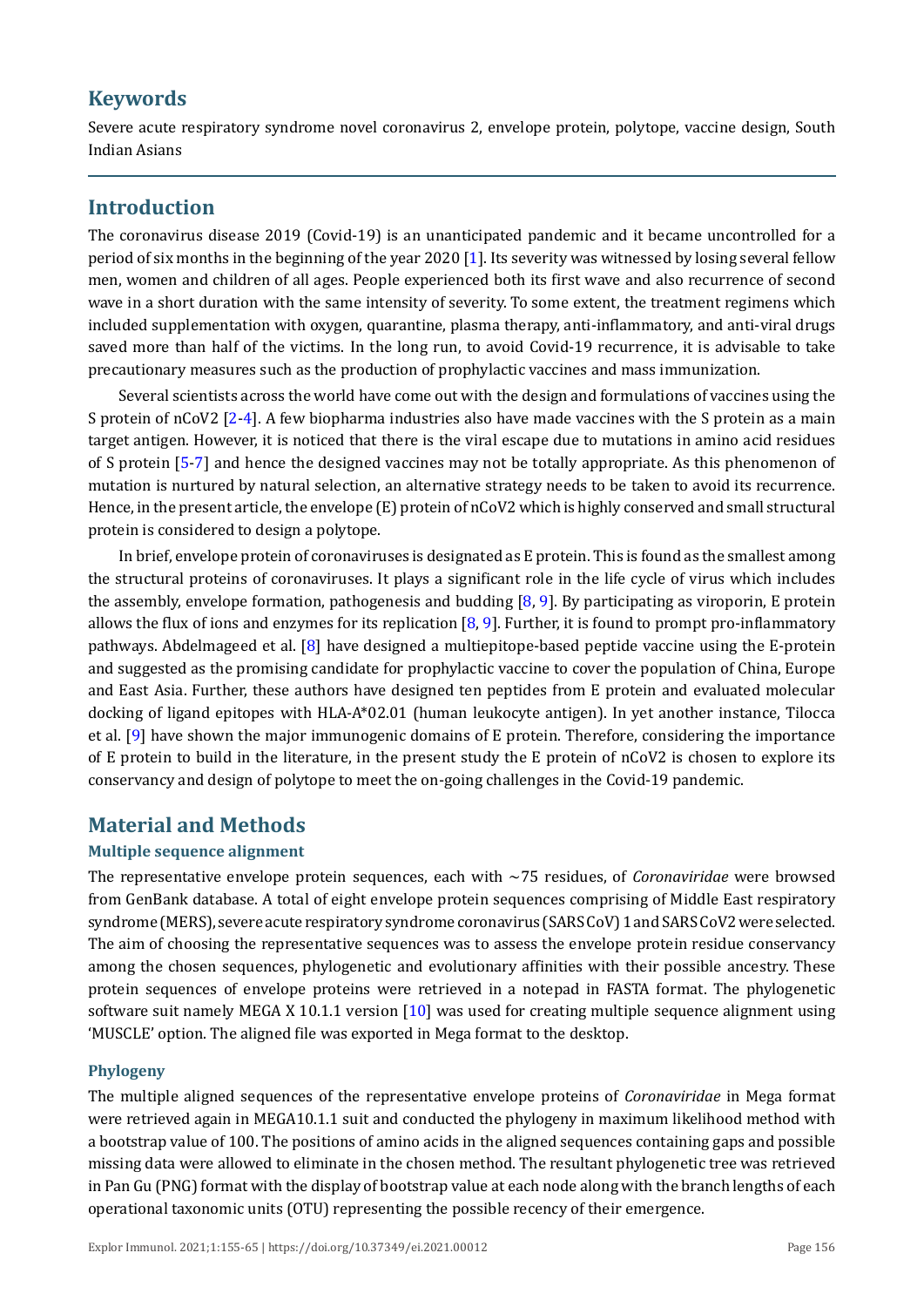## **Keywords**

Severe acute respiratory syndrome novel coronavirus 2, envelope protein, polytope, vaccine design, South Indian Asians

## **Introduction**

The coronavirus disease 2019 (Covid-19) is an unanticipated pandemic and it became uncontrolled for a period of six months in the beginning of the year 2020 [\[1](#page-9-0)]. Its severity was witnessed by losing several fellow men, women and children of all ages. People experienced both its first wave and also recurrence of second wave in a short duration with the same intensity of severity. To some extent, the treatment regimens which included supplementation with oxygen, quarantine, plasma therapy, anti-inflammatory, and anti-viral drugs saved more than half of the victims. In the long run, to avoid Covid-19 recurrence, it is advisable to take precautionary measures such as the production of prophylactic vaccines and mass immunization.

Several scientists across the world have come out with the design and formulations of vaccines using the S protein of nCoV[2](#page-9-1) [2-[4\]](#page-9-2). A few biopharma industries also have made vaccines with the S protein as a main target antigen. However, it is noticed that there is the viral escape due to mutations in amino acid residues of S protein [\[5](#page-9-3)-[7\]](#page-9-4) and hence the designed vaccines may not be totally appropriate. As this phenomenon of mutation is nurtured by natural selection, an alternative strategy needs to be taken to avoid its recurrence. Hence, in the present article, the envelope (E) protein of nCoV2 which is highly conserved and small structural protein is considered to design a polytope.

In brief, envelope protein of coronaviruses is designated as E protein. This is found as the smallest among the structural proteins of coronaviruses. It plays a significant role in the life cycle of virus which includes the assembly, envelope formation, pathogenesis and budding [\[8](#page-9-5), [9\]](#page-9-6). By participating as viroporin, E protein allows the flux of ions and enzymes for its replication  $[8, 9]$  $[8, 9]$  $[8, 9]$ . Further, it is found to prompt pro-inflammatory pathways. Abdelmageed et al. [[8\]](#page-9-5) have designed a multiepitope-based peptide vaccine using the E-protein and suggested as the promising candidate for prophylactic vaccine to cover the population of China, Europe and East Asia. Further, these authors have designed ten peptides from E protein and evaluated molecular docking of ligand epitopes with HLA-A\*02.01 (human leukocyte antigen). In yet another instance, Tilocca et al. [[9\]](#page-9-6) have shown the major immunogenic domains of E protein. Therefore, considering the importance of E protein to build in the literature, in the present study the E protein of nCoV2 is chosen to explore its conservancy and design of polytope to meet the on-going challenges in the Covid-19 pandemic.

## **Material and Methods**

### **Multiple sequence alignment**

The representative envelope protein sequences, each with ~75 residues, of *Coronaviridae* were browsed from GenBank database. A total of eight envelope protein sequences comprising of Middle East respiratory syndrome (MERS), severe acute respiratory syndrome coronavirus (SARS CoV) 1 and SARS CoV2 were selected. The aim of choosing the representative sequences was to assess the envelope protein residue conservancy among the chosen sequences, phylogenetic and evolutionary affinities with their possible ancestry. These protein sequences of envelope proteins were retrieved in a notepad in FASTA format. The phylogenetic software suit namely MEGA X 10.1.1 version [\[10\]](#page-9-7) was used for creating multiple sequence alignment using 'MUSCLE' option. The aligned file was exported in Mega format to the desktop.

### **Phylogeny**

The multiple aligned sequences of the representative envelope proteins of *Coronaviridae* in Mega format were retrieved again in MEGA10.1.1 suit and conducted the phylogeny in maximum likelihood method with a bootstrap value of 100. The positions of amino acids in the aligned sequences containing gaps and possible missing data were allowed to eliminate in the chosen method. The resultant phylogenetic tree was retrieved in Pan Gu (PNG) format with the display of bootstrap value at each node along with the branch lengths of each operational taxonomic units (OTU) representing the possible recency of their emergence.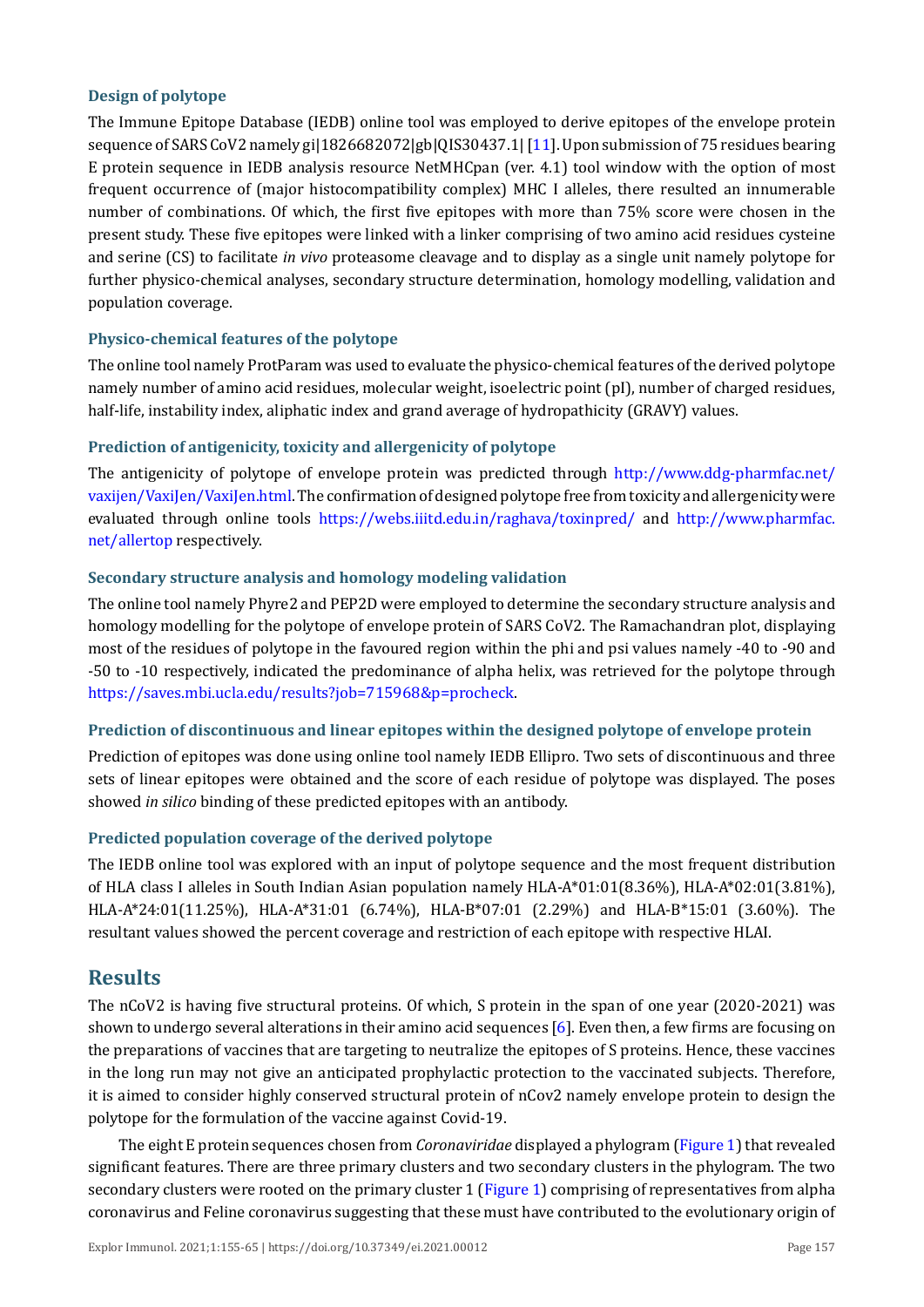#### **Design of polytope**

The Immune Epitope Database (IEDB) online tool was employed to derive epitopes of the envelope protein sequence of SARS CoV2 namely gi|1826682072|gb|QIS30437.1| [\[11](#page-9-8)]. Upon submission of 75 residues bearing E protein sequence in IEDB analysis resource NetMHCpan (ver. 4.1) tool window with the option of most frequent occurrence of (major histocompatibility complex) MHC I alleles, there resulted an innumerable number of combinations. Of which, the first five epitopes with more than 75% score were chosen in the present study. These five epitopes were linked with a linker comprising of two amino acid residues cysteine and serine (CS) to facilitate *in vivo* proteasome cleavage and to display as a single unit namely polytope for further physico-chemical analyses, secondary structure determination, homology modelling, validation and population coverage.

### **Physico-chemical features of the polytope**

The online tool namely ProtParam was used to evaluate the physico-chemical features of the derived polytope namely number of amino acid residues, molecular weight, isoelectric point (pI), number of charged residues, half-life, instability index, aliphatic index and grand average of hydropathicity (GRAVY) values.

#### **Prediction of antigenicity, toxicity and allergenicity of polytope**

The antigenicity of polytope of envelope protein was predicted through [http://www.ddg-pharmfac.net/](http://www.ddg-pharmfac.net/vaxijen/VaxiJen/VaxiJen.html) [vaxijen/VaxiJen/VaxiJen.html](http://www.ddg-pharmfac.net/vaxijen/VaxiJen/VaxiJen.html). The confirmation of designed polytope free from toxicity and allergenicity were evaluated through online tools <https://webs.iiitd.edu.in/raghava/toxinpred/>and [http://www.pharmfac.](http://www.pharmfac.net/allertop) [net/allertop](http://www.pharmfac.net/allertop) respectively.

#### **Secondary structure analysis and homology modeling validation**

The online tool namely Phyre2 and PEP2D were employed to determine the secondary structure analysis and homology modelling for the polytope of envelope protein of SARS CoV2. The Ramachandran plot, displaying most of the residues of polytope in the favoured region within the phi and psi values namely -40 to -90 and -50 to -10 respectively, indicated the predominance of alpha helix, was retrieved for the polytope through <https://saves.mbi.ucla.edu/results?job=715968&p=procheck>.

### **Prediction of discontinuous and linear epitopes within the designed polytope of envelope protein**

Prediction of epitopes was done using online tool namely IEDB Ellipro. Two sets of discontinuous and three sets of linear epitopes were obtained and the score of each residue of polytope was displayed. The poses showed *in silico* binding of these predicted epitopes with an antibody.

### **Predicted population coverage of the derived polytope**

The IEDB online tool was explored with an input of polytope sequence and the most frequent distribution of HLA class I alleles in South Indian Asian population namely HLA-A\*01:01(8.36%), HLA-A\*02:01(3.81%), HLA-A\*24:01(11.25%), HLA-A\*31:01 (6.74%), HLA-B\*07:01 (2.29%) and HLA-B\*15:01 (3.60%). The resultant values showed the percent coverage and restriction of each epitope with respective HLAI.

### **Results**

The nCoV2 is having five structural proteins. Of which, S protein in the span of one year (2020-2021) was shown to undergo several alterations in their amino acid sequences [\[6](#page-9-9)]. Even then, a few firms are focusing on the preparations of vaccines that are targeting to neutralize the epitopes of S proteins. Hence, these vaccines in the long run may not give an anticipated prophylactic protection to the vaccinated subjects. Therefore, it is aimed to consider highly conserved structural protein of nCov2 namely envelope protein to design the polytope for the formulation of the vaccine against Covid-19.

The eight E protein sequences chosen from *Coronaviridae* displayed a phylogram ([Figure 1](#page-3-0)) that revealed significant features. There are three primary clusters and two secondary clusters in the phylogram. The two secondary clusters were rooted on the primary cluster 1 [\(Figure 1\)](#page-3-0) comprising of representatives from alpha coronavirus and Feline coronavirus suggesting that these must have contributed to the evolutionary origin of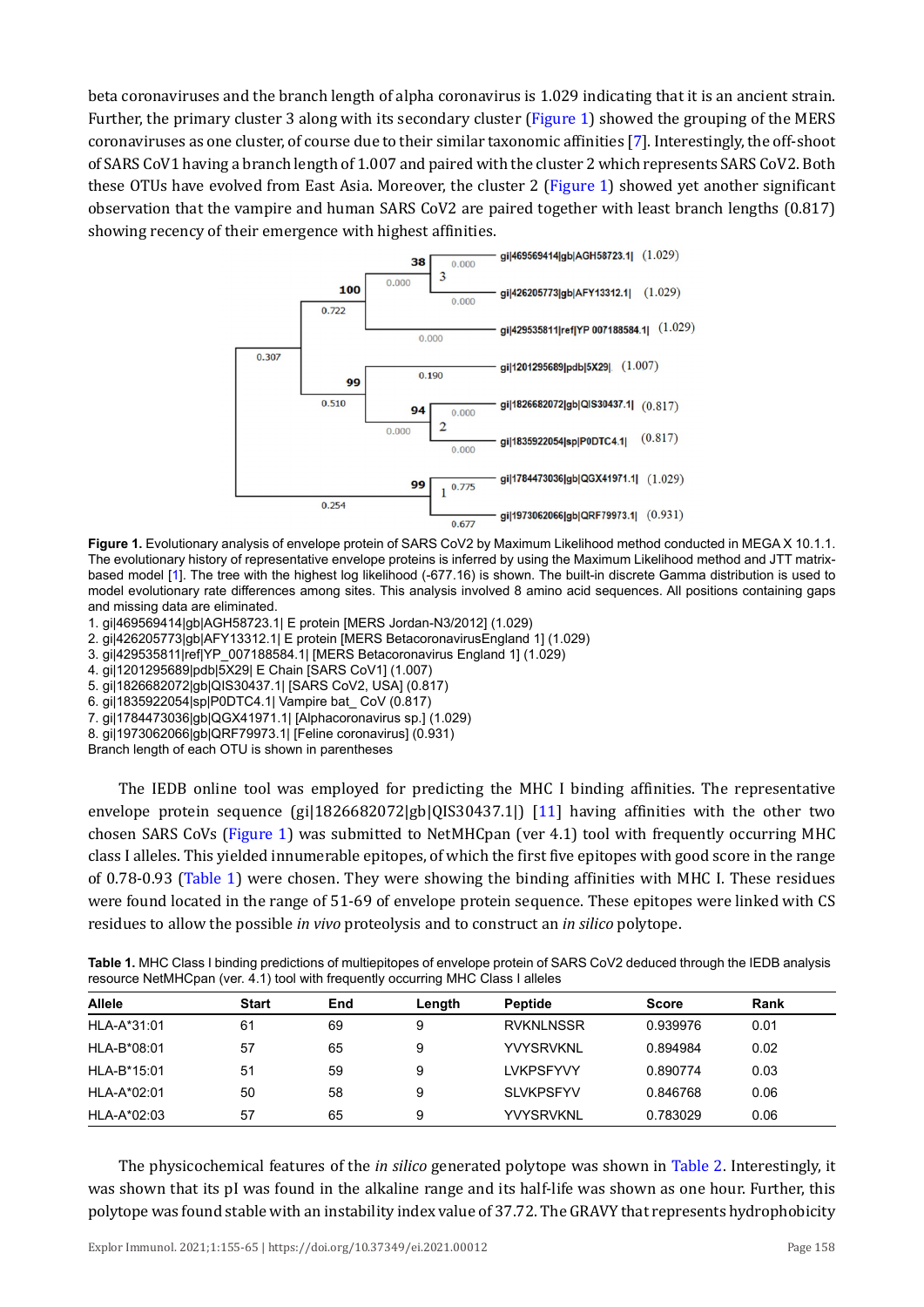<span id="page-3-0"></span>beta coronaviruses and the branch length of alpha coronavirus is 1.029 indicating that it is an ancient strain. Further, the primary cluster 3 along with its secondary cluster ([Figure 1\)](#page-3-0) showed the grouping of the MERS coronaviruses as one cluster, of course due to their similar taxonomic affinities [\[7\]](#page-9-4). Interestingly, the off-shoot of SARS CoV1 having a branch length of 1.007 and paired with the cluster 2 which represents SARS CoV2. Both these OTUs have evolved from East Asia. Moreover, the cluster 2 ([Figure 1](#page-3-0)) showed yet another significant observation that the vampire and human SARS CoV2 are paired together with least branch lengths (0.817) showing recency of their emergence with highest affinities.



**Figure 1.** Evolutionary analysis of envelope protein of SARS CoV2 by Maximum Likelihood method conducted in MEGA X 10.1.1. The evolutionary history of representative envelope proteins is inferred by using the Maximum Likelihood method and JTT matrixbased model [1]. The tree with the highest log likelihood (-677.16) is shown. The built-in discrete Gamma distribution is used to model evolutionary rate differences among sites. This analysis involved 8 amino acid sequences. All positions containing gaps and missing data are eliminated.

1. gi|469569414|gb|AGH58723.1| E protein [MERS Jordan-N3/2012] (1.029)

2. gi|426205773|gb|AFY13312.1| E protein [MERS BetacoronavirusEngland 1] (1.029)

3. gi|429535811|ref|YP\_007188584.1| [MERS Betacoronavirus England 1] (1.029)

4. gi|1201295689|pdb|5X29| E Chain [SARS CoV1] (1.007)

5. gi|1826682072|gb|QIS30437.1| [SARS CoV2, USA] (0.817)

6. gi|1835922054|sp|P0DTC4.1| Vampire bat\_ CoV (0.817)

7. gi|1784473036|gb|QGX41971.1| [Alphacoronavirus sp.] (1.029)

8. gi|1973062066|gb|QRF79973.1| [Feline coronavirus] (0.931)

Branch length of each OTU is shown in parentheses

The IEDB online tool was employed for predicting the MHC I binding affinities. The representative envelope protein sequence (gi|1826682072|gb|QIS30437.1|) [\[11\]](#page-9-8) having affinities with the other two chosen SARS CoVs [\(Figure 1](#page-3-0)) was submitted to NetMHCpan (ver 4.1) tool with frequently occurring MHC class I alleles. This yielded innumerable epitopes, of which the first five epitopes with good score in the range of 0.78-0.93 ([Table 1](#page-3-1)) were chosen. They were showing the binding affinities with MHC I. These residues were found located in the range of 51-69 of envelope protein sequence. These epitopes were linked with CS residues to allow the possible *in vivo* proteolysis and to construct an *in silico* polytope.

<span id="page-3-1"></span>

| Table 1. MHC Class I binding predictions of multiepitopes of envelope protein of SARS CoV2 deduced through the IEDB analysis |
|------------------------------------------------------------------------------------------------------------------------------|
| resource NetMHCpan (ver. 4.1) tool with frequently occurring MHC Class I alleles                                             |

| <b>Allele</b> | <b>Start</b> | End | Length | <b>Peptide</b>   | <b>Score</b> | Rank |
|---------------|--------------|-----|--------|------------------|--------------|------|
| HLA-A*31:01   | 61           | 69  | 9      | <b>RVKNLNSSR</b> | 0.939976     | 0.01 |
| HLA-B*08:01   | 57           | 65  | 9      | <b>YVYSRVKNL</b> | 0.894984     | 0.02 |
| HLA-B*15:01   | 51           | 59  | 9      | <b>LVKPSFYVY</b> | 0.890774     | 0.03 |
| HLA-A*02:01   | 50           | 58  | 9      | <b>SLVKPSFYV</b> | 0.846768     | 0.06 |
| HLA-A*02:03   | 57           | 65  | 9      | <b>YVYSRVKNL</b> | 0.783029     | 0.06 |

The physicochemical features of the *in silico* generated polytope was shown in [Table 2.](#page-4-0) Interestingly, it was shown that its pI was found in the alkaline range and its half-life was shown as one hour. Further, this polytope was found stable with an instability index value of 37.72. The GRAVY that represents hydrophobicity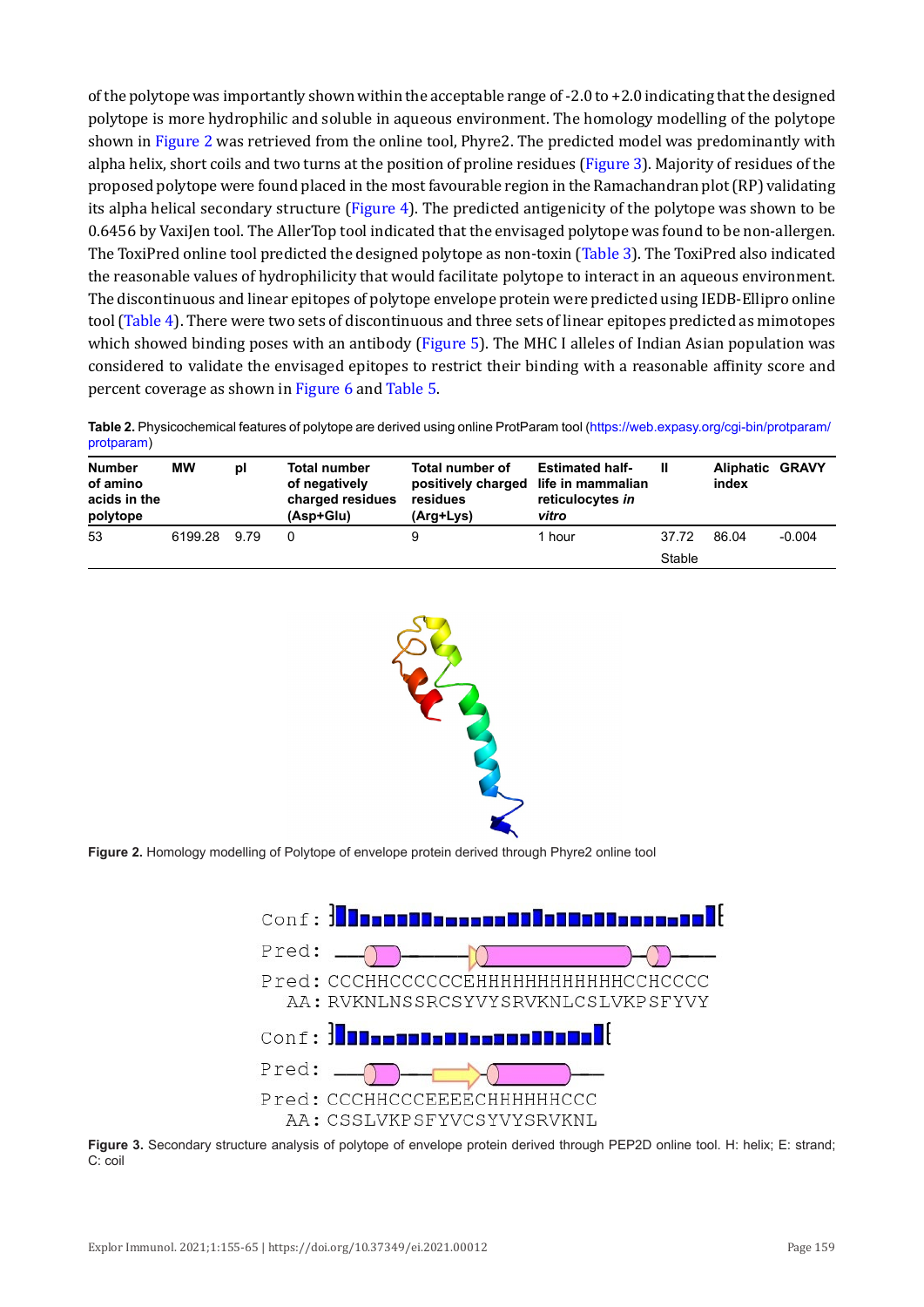of the polytope was importantly shown within the acceptable range of -2.0 to +2.0 indicating that the designed polytope is more hydrophilic and soluble in aqueous environment. The homology modelling of the polytope shown in [Figure 2](#page-4-1) was retrieved from the online tool, Phyre2. The predicted model was predominantly with alpha helix, short coils and two turns at the position of proline residues [\(Figure 3](#page-4-2)). Majority of residues of the proposed polytope were found placed in the most favourable region in the Ramachandran plot (RP) validating its alpha helical secondary structure [\(Figure 4\)](#page-5-0). The predicted antigenicity of the polytope was shown to be 0.6456 by VaxiJen tool. The AllerTop tool indicated that the envisaged polytope was found to be non-allergen. The ToxiPred online tool predicted the designed polytope as non-toxin ([Table 3](#page-5-1)). The ToxiPred also indicated the reasonable values of hydrophilicity that would facilitate polytope to interact in an aqueous environment. The discontinuous and linear epitopes of polytope envelope protein were predicted using IEDB-Ellipro online tool [\(Table 4](#page-6-0)). There were two sets of discontinuous and three sets of linear epitopes predicted as mimotopes which showed binding poses with an antibody ([Figure](#page-6-1) 5). The MHC I alleles of Indian Asian population was considered to validate the envisaged epitopes to restrict their binding with a reasonable affinity score and percent coverage as shown in [Figure 6](#page-6-2) and [Table 5](#page-7-0).

<span id="page-4-0"></span>**Table 2.** Physicochemical features of polytope are derived using online ProtParam tool [\(https://web.expasy.org/cgi-bin/protparam/](https://web.expasy.org/cgi-bin/protparam/protparam) [protparam](https://web.expasy.org/cgi-bin/protparam/protparam))

<span id="page-4-1"></span>

| <b>Number</b><br>of amino<br>acids in the<br>polytope | МW      | рI   | <b>Total number</b><br>of negatively<br>charged residues<br>(Asp+Glu) | Total number of<br>positively charged life in mammalian<br>residues<br>(Arg+Lys) | <b>Estimated half-</b><br>reticulocytes in<br>vitro | Ш      | <b>Aliphatic GRAVY</b><br>index |          |
|-------------------------------------------------------|---------|------|-----------------------------------------------------------------------|----------------------------------------------------------------------------------|-----------------------------------------------------|--------|---------------------------------|----------|
| 53                                                    | 6199.28 | 9.79 | 0                                                                     | 9                                                                                | 1 hour                                              | 37.72  | 86.04                           | $-0.004$ |
|                                                       |         |      |                                                                       |                                                                                  |                                                     | Stable |                                 |          |



<span id="page-4-2"></span>



**Figure 3.** Secondary structure analysis of polytope of envelope protein derived through PEP2D online tool. H: helix; E: strand; C: coil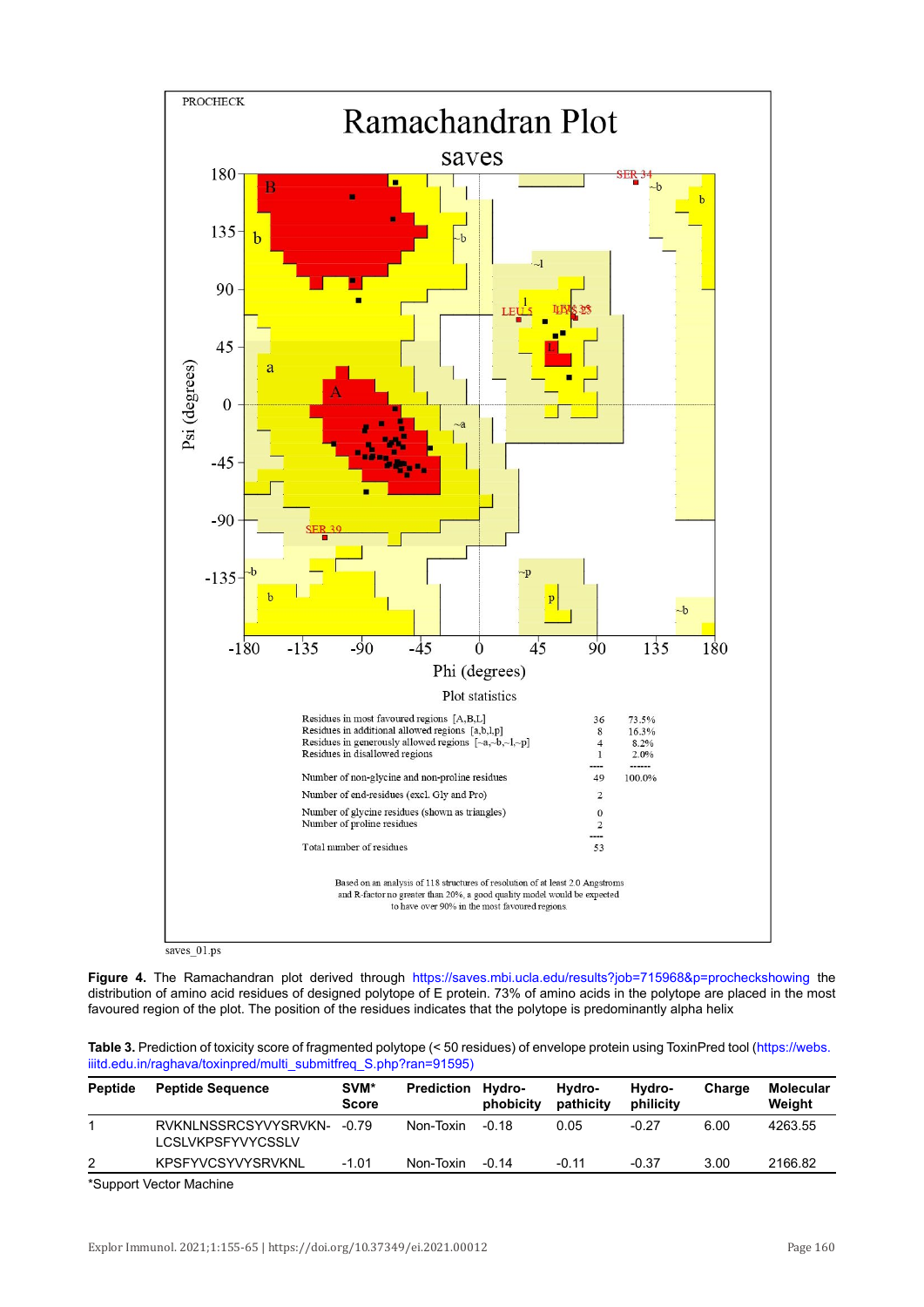<span id="page-5-0"></span>

**Figure 4.** The Ramachandran plot derived through <https://saves.mbi.ucla.edu/results?job=715968&p=procheckshowing> the distribution of amino acid residues of designed polytope of E protein. 73% of amino acids in the polytope are placed in the most favoured region of the plot. The position of the residues indicates that the polytope is predominantly alpha helix

<span id="page-5-1"></span>

| Table 3. Prediction of toxicity score of fragmented polytope (< 50 residues) of envelope protein using ToxinPred tool (https://webs. |  |
|--------------------------------------------------------------------------------------------------------------------------------------|--|
| iiitd.edu.in/raghava/toxinpred/multi_submitfreq_S.php?ran=91595)                                                                     |  |

| <b>Peptide</b> | <b>Peptide Sequence</b>                          | SVM*<br><b>Score</b> | <b>Prediction</b> | Hvdro-<br>phobicity | Hvdro-<br>pathicity | Hydro-<br>philicity | Charge | <b>Molecular</b><br>Weight |
|----------------|--------------------------------------------------|----------------------|-------------------|---------------------|---------------------|---------------------|--------|----------------------------|
|                | RVKNLNSSRCSYVYSRVKN-<br><b>LCSLVKPSFYVYCSSLV</b> | -0.79                | Non-Toxin         | $-0.18$             | 0.05                | $-0.27$             | 6.00   | 4263.55                    |
| 2              | <b>KPSFYVCSYVYSRVKNL</b>                         | $-1.01$              | Non-Toxin         | $-0.14$             | $-0.11$             | $-0.37$             | 3.00   | 2166.82                    |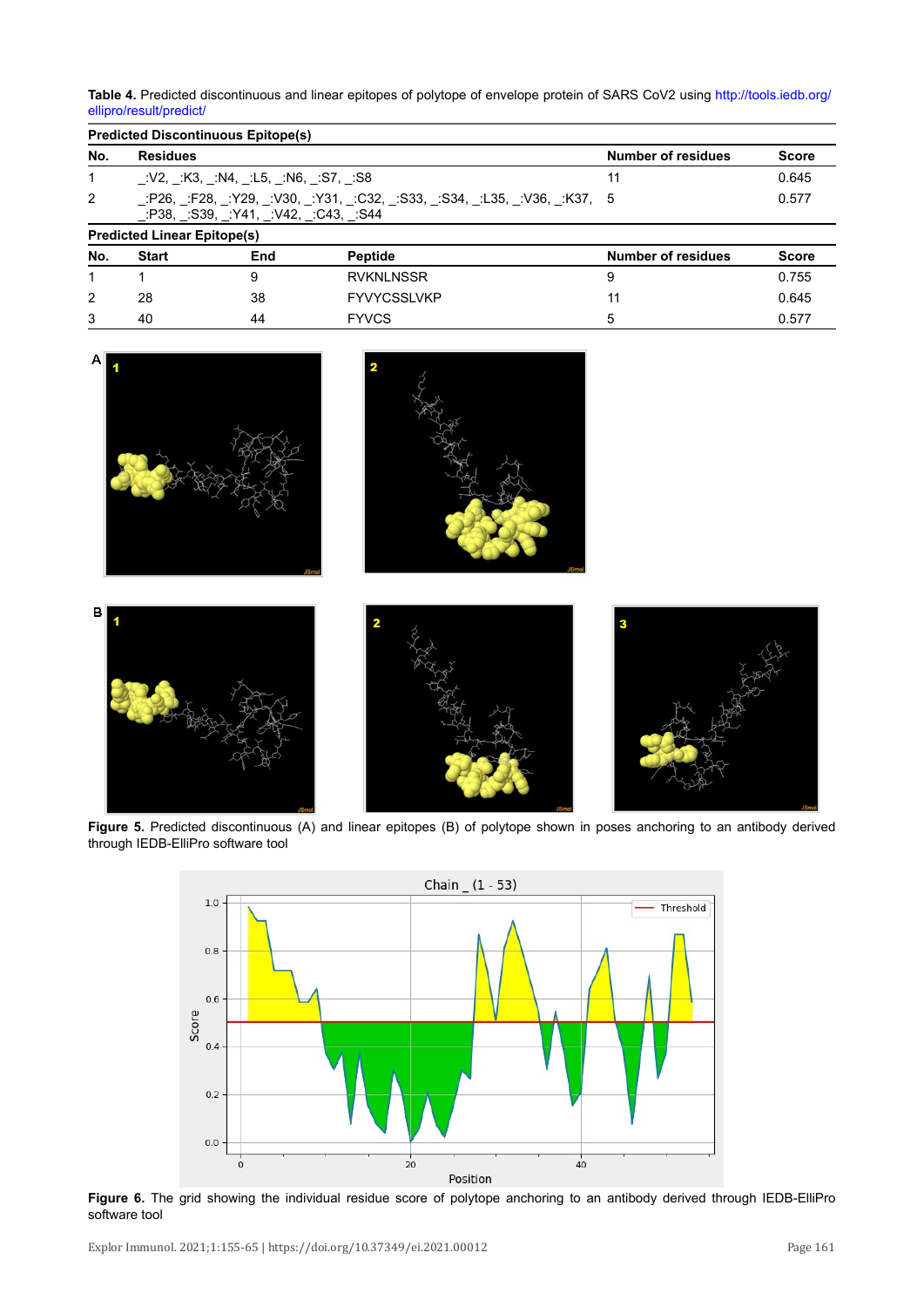<span id="page-6-0"></span>**Table 4.** Predicted discontinuous and linear epitopes of polytope of envelope protein of SARS CoV2 using [http://tools.iedb.org/](http://tools.iedb.org/ellipro/result/predict/) [ellipro/result/predict/](http://tools.iedb.org/ellipro/result/predict/)

|              | <b>Predicted Discontinuous Epitope(s)</b>                                                                     |     |                    |                           |              |  |  |  |
|--------------|---------------------------------------------------------------------------------------------------------------|-----|--------------------|---------------------------|--------------|--|--|--|
| No.          | <b>Residues</b>                                                                                               |     |                    | <b>Number of residues</b> | <b>Score</b> |  |  |  |
| $\mathbf{1}$ | :V2, :K3, :N4, :L5, :N6, :S7, :S8                                                                             |     |                    | 11                        | 0.645        |  |  |  |
| 2            | :P26, :F28, :Y29, :V30, :Y31, :C32, :S33, :S34, :L35, :V36, :K37, 5<br>0.577<br>:P38, S39, Y41, V42, C43, S44 |     |                    |                           |              |  |  |  |
|              | <b>Predicted Linear Epitope(s)</b>                                                                            |     |                    |                           |              |  |  |  |
| No.          | <b>Start</b>                                                                                                  | End | <b>Peptide</b>     | <b>Number of residues</b> | <b>Score</b> |  |  |  |
|              |                                                                                                               | 9   | <b>RVKNLNSSR</b>   | 9                         | 0.755        |  |  |  |
| 2            | 28                                                                                                            | 38  | <b>FYVYCSSLVKP</b> | 11                        | 0.645        |  |  |  |
| 3            | 40                                                                                                            | 44  | <b>FYVCS</b>       | 5                         | 0.577        |  |  |  |

<span id="page-6-1"></span>

<span id="page-6-2"></span>**Figure 5.** Predicted discontinuous (A) and linear epitopes (B) of polytope shown in poses anchoring to an antibody derived through IEDB-ElliPro software tool



**Figure 6.** The grid showing the individual residue score of polytope anchoring to an antibody derived through IEDB-ElliPro software tool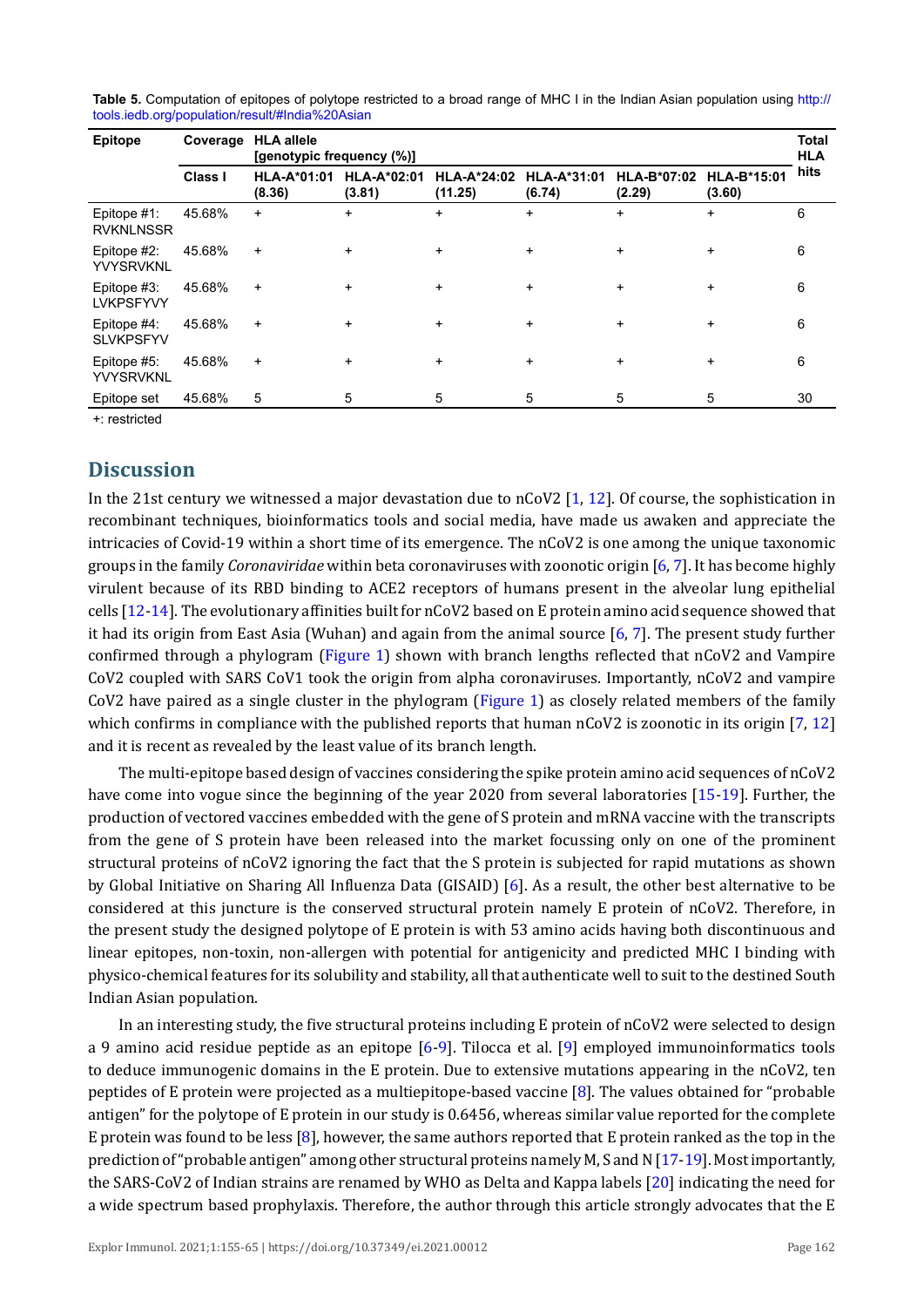| Epitope                            | <b>HLA allele</b><br>Coverage<br>[genotypic frequency (%)] |                              |                              |                               |                              |                       | <b>Total</b><br><b>HLA</b>   |      |
|------------------------------------|------------------------------------------------------------|------------------------------|------------------------------|-------------------------------|------------------------------|-----------------------|------------------------------|------|
|                                    | <b>Class I</b>                                             | <b>HLA-A*01:01</b><br>(8.36) | <b>HLA-A*02:01</b><br>(3.81) | <b>HLA-A*24:02</b><br>(11.25) | <b>HLA-A*31:01</b><br>(6.74) | HLA-B*07:02<br>(2.29) | <b>HLA-B*15:01</b><br>(3.60) | hits |
| Epitope #1:<br><b>RVKNLNSSR</b>    | 45.68%                                                     | $+$                          | $+$                          | $+$                           | $\ddot{}$                    | $+$                   | $\ddot{}$                    | 6    |
| Epitope #2:<br><b>YVYSRVKNL</b>    | 45.68%                                                     | $+$                          | $+$                          | ÷                             | $\ddot{}$                    | $\ddot{}$             | $\ddot{}$                    | 6    |
| Epitope #3:<br><b>LVKPSFYVY</b>    | 45.68%                                                     | $+$                          | $+$                          | ÷                             | $\ddot{}$                    | $\ddot{}$             | $\ddot{}$                    | 6    |
| Epitope $#4$ :<br><b>SLVKPSFYV</b> | 45.68%                                                     | $+$                          | $+$                          | ÷.                            | $\ddot{}$                    | $\ddot{}$             | $\ddot{}$                    | 6    |
| Epitope #5:<br><b>YVYSRVKNL</b>    | 45.68%                                                     | $\ddot{}$                    | $+$                          | ÷.                            | $\ddot{}$                    | $\ddot{}$             | $\ddot{}$                    | 6    |
| Epitope set                        | 45.68%                                                     | 5                            | 5                            | 5                             | 5                            | 5                     | 5                            | 30   |

<span id="page-7-0"></span>**Table 5.** Computation of epitopes of polytope restricted to a broad range of MHC I in the Indian Asian population using [http://](http://tools.iedb.org/population/result/#India%20Asian) [tools.iedb.org/population/result/#India%20Asian](http://tools.iedb.org/population/result/#India%20Asian)

+: restricted

### **Discussion**

In the 21st century we witnessed a major devastation due to nCoV2 [\[1](#page-9-0), [12\]](#page-9-10). Of course, the sophistication in recombinant techniques, bioinformatics tools and social media, have made us awaken and appreciate the intricacies of Covid-19 within a short time of its emergence. The nCoV2 is one among the unique taxonomic groups in the family *Coronaviridae* within beta coronaviruses with zoonotic origin [\[6,](#page-9-9) [7\]](#page-9-4). It has become highly virulent because of its RBD binding to ACE2 receptors of humans present in the alveolar lung epithelial cells [\[12](#page-9-10)[-14\]](#page-9-11). The evolutionary affinities built for nCoV2 based on E protein amino acid sequence showed that it had its origin from East Asia (Wuhan) and again from the animal source [\[6,](#page-9-9) [7\]](#page-9-4). The present study further confirmed through a phylogram ([Figure 1\)](#page-3-0) shown with branch lengths reflected that nCoV2 and Vampire CoV2 coupled with SARS CoV1 took the origin from alpha coronaviruses. Importantly, nCoV2 and vampire CoV2 have paired as a single cluster in the phylogram [\(Figure 1](#page-3-0)) as closely related members of the family which confirms in compliance with the published reports that human nCoV2 is zoonotic in its origin [[7,](#page-9-4) [12\]](#page-9-10) and it is recent as revealed by the least value of its branch length.

The multi-epitope based design of vaccines considering the spike protein amino acid sequences of nCoV2 have come into vogue since the beginning of the year 2020 from several laboratories [[15](#page-9-12)-[19\]](#page-10-0). Further, the production of vectored vaccines embedded with the gene of S protein and mRNA vaccine with the transcripts from the gene of S protein have been released into the market focussing only on one of the prominent structural proteins of nCoV2 ignoring the fact that the S protein is subjected for rapid mutations as shown by Global Initiative on Sharing All Influenza Data (GISAID) [[6](#page-9-9)]. As a result, the other best alternative to be considered at this juncture is the conserved structural protein namely E protein of nCoV2. Therefore, in the present study the designed polytope of E protein is with 53 amino acids having both discontinuous and linear epitopes, non-toxin, non-allergen with potential for antigenicity and predicted MHC I binding with physico-chemical features for its solubility and stability, all that authenticate well to suit to the destined South Indian Asian population.

In an interesting study, the five structural proteins including E protein of nCoV2 were selected to design a 9 amino acid residue peptide as an epitope [\[6](#page-9-9)-[9](#page-9-6)]. Tilocca et al. [\[9](#page-9-6)] employed immunoinformatics tools to deduce immunogenic domains in the E protein. Due to extensive mutations appearing in the nCoV2, ten peptides of E protein were projected as a multiepitope-based vaccine [\[8\]](#page-9-5). The values obtained for "probable antigen" for the polytope of E protein in our study is 0.6456, whereas similar value reported for the complete E protein was found to be less  $[8]$  $[8]$  $[8]$ , however, the same authors reported that E protein ranked as the top in the prediction of "probable antigen" among other structural proteins namely M, S and N [\[17-](#page-9-13)[19\]](#page-10-0). Most importantly, the SARS-CoV2 of Indian strains are renamed by WHO as Delta and Kappa labels [[20](#page-10-1)] indicating the need for a wide spectrum based prophylaxis. Therefore, the author through this article strongly advocates that the E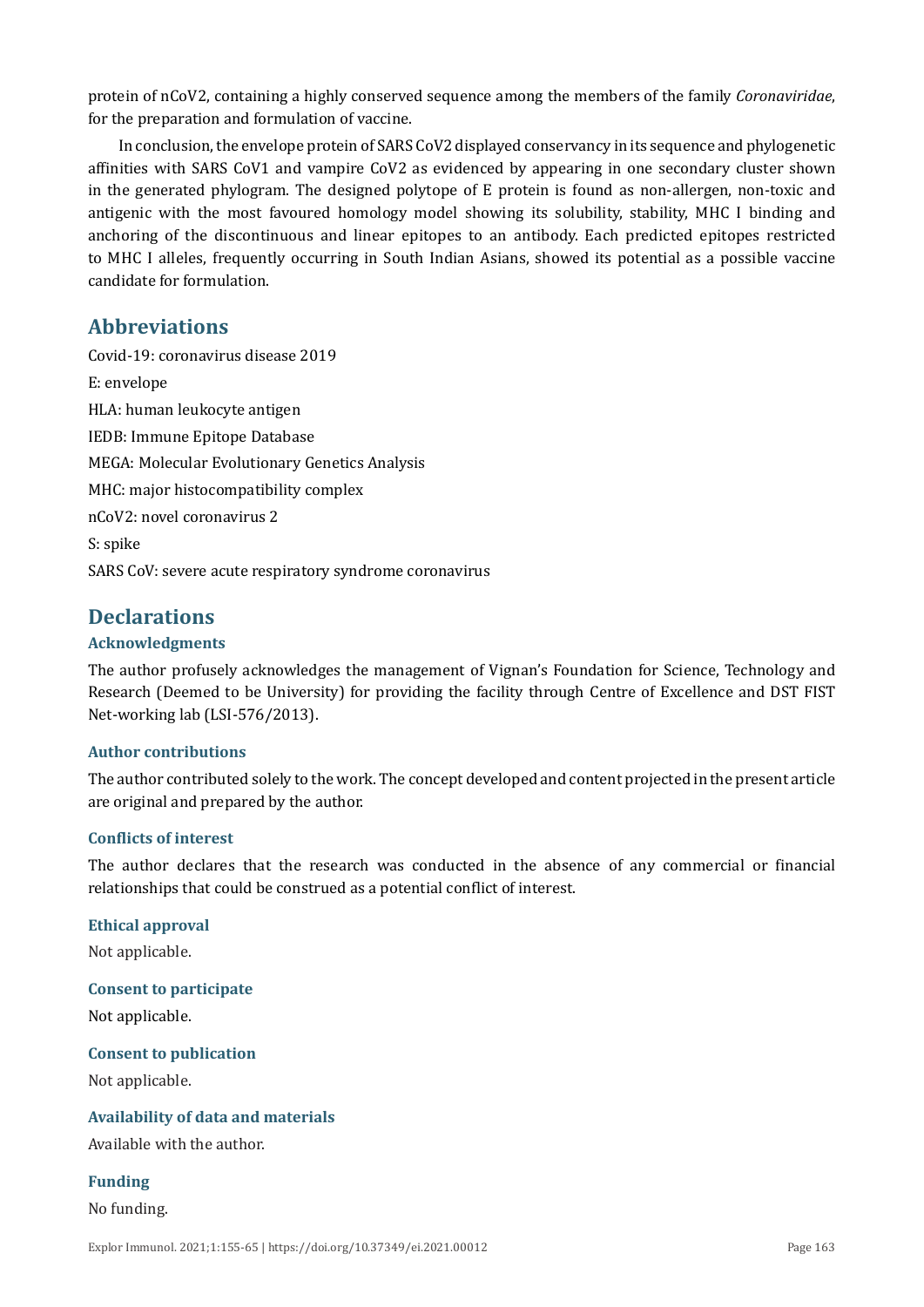protein of nCoV2, containing a highly conserved sequence among the members of the family *Coronaviridae*, for the preparation and formulation of vaccine.

In conclusion, the envelope protein of SARS CoV2 displayed conservancy in its sequence and phylogenetic affinities with SARS CoV1 and vampire CoV2 as evidenced by appearing in one secondary cluster shown in the generated phylogram. The designed polytope of E protein is found as non-allergen, non-toxic and antigenic with the most favoured homology model showing its solubility, stability, MHC I binding and anchoring of the discontinuous and linear epitopes to an antibody. Each predicted epitopes restricted to MHC I alleles, frequently occurring in South Indian Asians, showed its potential as a possible vaccine candidate for formulation.

### **Abbreviations**

Covid-19: coronavirus disease 2019 E: envelope HLA: human leukocyte antigen IEDB: Immune Epitope Database MEGA: Molecular Evolutionary Genetics Analysis MHC: major histocompatibility complex nCoV2: novel coronavirus 2 S: spike SARS CoV: severe acute respiratory syndrome coronavirus

### **Declarations**

### **Acknowledgments**

The author profusely acknowledges the management of Vignan's Foundation for Science, Technology and Research (Deemed to be University) for providing the facility through Centre of Excellence and DST FIST Net-working lab (LSI-576/2013).

#### **Author contributions**

The author contributed solely to the work. The concept developed and content projected in the present article are original and prepared by the author.

#### **Conflicts of interest**

The author declares that the research was conducted in the absence of any commercial or financial relationships that could be construed as a potential conflict of interest.

#### **Ethical approval**

Not applicable.

### **Consent to participate**

Not applicable.

#### **Consent to publication**

Not applicable.

#### **Availability of data and materials**

Available with the author.

### **Funding**

No funding.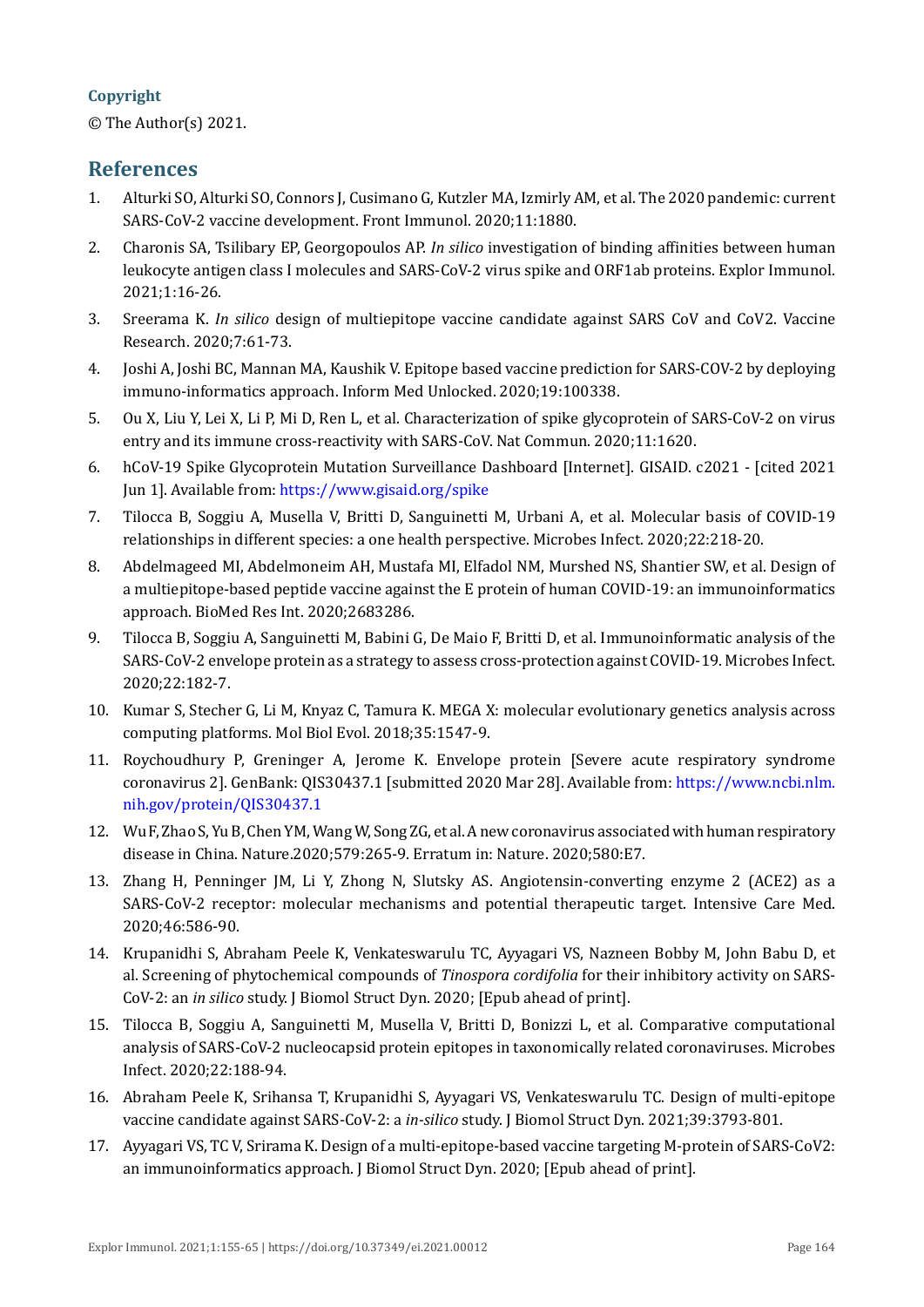### **Copyright**

© The Author(s) 2021.

### **References**

- <span id="page-9-0"></span>1. Alturki SO, Alturki SO, Connors J, Cusimano G, Kutzler MA, Izmirly AM, et al. The 2020 pandemic: current SARS-CoV-2 vaccine development. Front Immunol. 2020;11:1880.
- <span id="page-9-1"></span>2. Charonis SA, Tsilibary EP, Georgopoulos AP. *In silico* investigation of binding affinities between human leukocyte antigen class I molecules and SARS-CoV-2 virus spike and ORF1ab proteins. Explor Immunol. 2021;1:16-26.
- 3. Sreerama K. *In silico* design of multiepitope vaccine candidate against SARS CoV and CoV2. Vaccine Research. 2020;7:61-73.
- <span id="page-9-2"></span>4. Joshi A, Joshi BC, Mannan MA, Kaushik V. Epitope based vaccine prediction for SARS-COV-2 by deploying immuno-informatics approach. Inform Med Unlocked. 2020;19:100338.
- <span id="page-9-3"></span>5. Ou X, Liu Y, Lei X, Li P, Mi D, Ren L, et al. Characterization of spike glycoprotein of SARS-CoV-2 on virus entry and its immune cross-reactivity with SARS-CoV. Nat Commun. 2020;11:1620.
- <span id="page-9-9"></span>6. hCoV-19 Spike Glycoprotein Mutation Surveillance Dashboard [Internet]. GISAID. c2021 - [cited 2021 Jun 1]. Available from: <https://www.gisaid.org/spike>
- <span id="page-9-4"></span>7. Tilocca B, Soggiu A, Musella V, Britti D, Sanguinetti M, Urbani A, et al. Molecular basis of COVID-19 relationships in different species: a one health perspective. Microbes Infect. 2020;22:218-20.
- <span id="page-9-5"></span>8. Abdelmageed MI, Abdelmoneim AH, Mustafa MI, Elfadol NM, Murshed NS, Shantier SW, et al. Design of a multiepitope-based peptide vaccine against the E protein of human COVID-19: an immunoinformatics approach. BioMed Res Int. 2020;2683286.
- <span id="page-9-6"></span>9. Tilocca B, Soggiu A, Sanguinetti M, Babini G, De Maio F, Britti D, et al. Immunoinformatic analysis of the SARS-CoV-2 envelope protein as a strategy to assess cross-protection against COVID-19. Microbes Infect. 2020;22:182-7.
- <span id="page-9-7"></span>10. Kumar S, Stecher G, Li M, Knyaz C, Tamura K. MEGA X: molecular evolutionary genetics analysis across computing platforms. Mol Biol Evol. 2018;35:1547-9.
- <span id="page-9-8"></span>11. Roychoudhury P, Greninger A, Jerome K. Envelope protein [Severe acute respiratory syndrome coronavirus 2]. GenBank: QIS30437.1 [submitted 2020 Mar 28]. Available from: [https://www.ncbi.nlm.](https://www.ncbi.nlm.nih.gov/protein/QIS30437.1) [nih.gov/protein/QIS30437.1](https://www.ncbi.nlm.nih.gov/protein/QIS30437.1)
- <span id="page-9-10"></span>12. Wu F, Zhao S, Yu B, Chen YM, Wang W, Song ZG, et al. A new coronavirus associated with human respiratory disease in China. Nature.2020;579:265-9. Erratum in: Nature. 2020;580:E7.
- 13. Zhang H, Penninger JM, Li Y, Zhong N, Slutsky AS. Angiotensin-converting enzyme 2 (ACE2) as a SARS-CoV-2 receptor: molecular mechanisms and potential therapeutic target. Intensive Care Med. 2020;46:586-90.
- <span id="page-9-11"></span>14. Krupanidhi S, Abraham Peele K, Venkateswarulu TC, Ayyagari VS, Nazneen Bobby M, John Babu D, et al. Screening of phytochemical compounds of *Tinospora cordifolia* for their inhibitory activity on SARS-CoV-2: an *in silico* study. J Biomol Struct Dyn. 2020; [Epub ahead of print].
- <span id="page-9-12"></span>15. Tilocca B, Soggiu A, Sanguinetti M, Musella V, Britti D, Bonizzi L, et al. Comparative computational analysis of SARS-CoV-2 nucleocapsid protein epitopes in taxonomically related coronaviruses. Microbes Infect. 2020;22:188-94.
- 16. Abraham Peele K, Srihansa T, Krupanidhi S, Ayyagari VS, Venkateswarulu TC. Design of multi-epitope vaccine candidate against SARS-CoV-2: a *in-silico* study. J Biomol Struct Dyn. 2021;39:3793-801.
- <span id="page-9-13"></span>17. Ayyagari VS, TC V, Srirama K. Design of a multi-epitope-based vaccine targeting M-protein of SARS-CoV2: an immunoinformatics approach. J Biomol Struct Dyn. 2020; [Epub ahead of print].